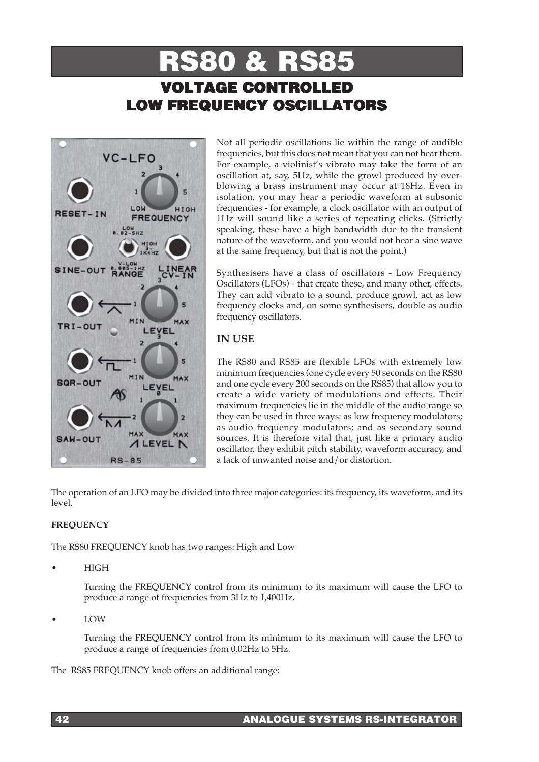# RS80 & RS85 VOLTAGE CONTROLLED LOW FREQUENCY OSCILLATORS



Not all periodic oscillations lie within the range of audible frequencies, but this does not mean that you can not hear them. For example, a violinist's vibrato may take the form of an oscillation at, say, 5Hz, while the growl produced by overblowing a brass instrument may occur at 18Hz. Even in isolation, you may hear a periodic waveform at subsonic frequencies - for example, a clock oscillator with an output of 1Hz will sound like a series of repeating clicks. (Strictly speaking, these have a high bandwidth due to the transient nature of the waveform, and you would not hear a sine wave at the same frequency, but that is not the point.)

Synthesisers have a class of oscillators - Low Frequency Oscillators (LFOs) - that create these, and many other, effects. They can add vibrato to a sound, produce growl, act as low frequency clocks and, on some synthesisers, double as audio frequency oscillators.

## **IN USE**

The RS80 and RS85 are flexible LFOs with extremely low minimum frequencies (one cycle every 50 seconds on the RS80 and one cycle every 200 seconds on the RS85) that allow you to create a wide variety of modulations and effects. Their maximum frequencies lie in the middle of the audio range so they can be used in three ways: as low frequency modulators; as audio frequency modulators; and as secondary sound sources. It is therefore vital that, just like a primary audio oscillator, they exhibit pitch stability, waveform accuracy, and a lack of unwanted noise and/or distortion.

The operation of an LFO may be divided into three major categories: its frequency, its waveform, and its level.

## **FREQUENCY**

The RS80 FREQUENCY knob has two ranges: High and Low

• HIGH

Turning the FREQUENCY control from its minimum to its maximum will cause the LFO to produce a range of frequencies from 3Hz to 1,400Hz.

• LOW

Turning the FREQUENCY control from its minimum to its maximum will cause the LFO to produce a range of frequencies from 0.02Hz to 5Hz.

The RS85 FREQUENCY knob offers an additional range: